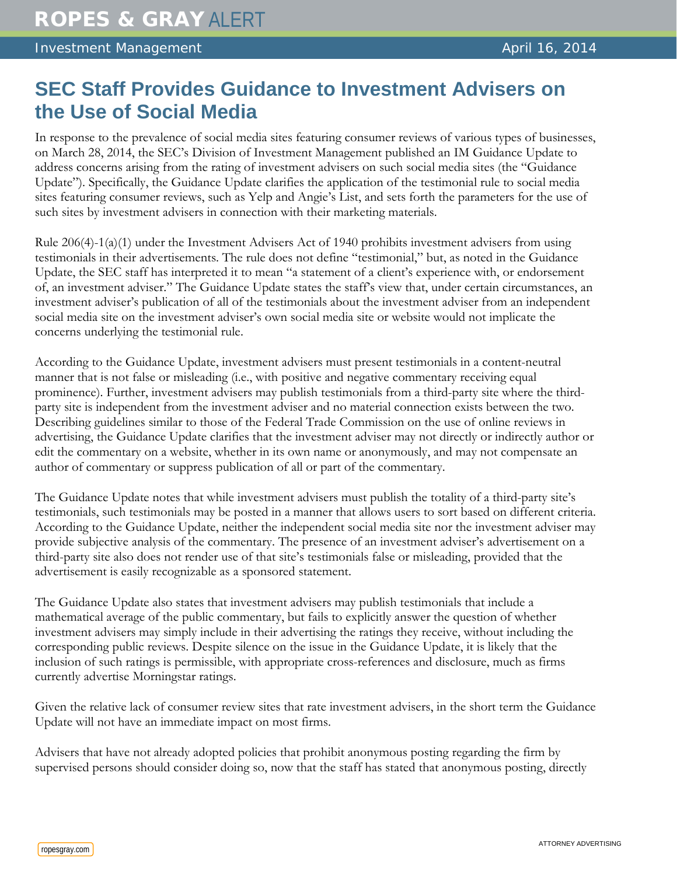## **SEC Staff Provides Guidance to Investment Advisers on the Use of Social Media**

In response to the prevalence of social media sites featuring consumer reviews of various types of businesses, on March 28, 2014, the SEC's Division of Investment Management published an IM Guidance Update to address concerns arising from the rating of investment advisers on such social media sites (the "Guidance Update"). Specifically, the Guidance Update clarifies the application of the testimonial rule to social media sites featuring consumer reviews, such as Yelp and Angie's List, and sets forth the parameters for the use of such sites by investment advisers in connection with their marketing materials.

Rule 206(4)-1(a)(1) under the Investment Advisers Act of 1940 prohibits investment advisers from using testimonials in their advertisements. The rule does not define "testimonial," but, as noted in the Guidance Update, the SEC staff has interpreted it to mean "a statement of a client's experience with, or endorsement of, an investment adviser." The Guidance Update states the staff's view that, under certain circumstances, an investment adviser's publication of all of the testimonials about the investment adviser from an independent social media site on the investment adviser's own social media site or website would not implicate the concerns underlying the testimonial rule.

According to the Guidance Update, investment advisers must present testimonials in a content-neutral manner that is not false or misleading (i.e., with positive and negative commentary receiving equal prominence). Further, investment advisers may publish testimonials from a third-party site where the thirdparty site is independent from the investment adviser and no material connection exists between the two. Describing guidelines similar to those of the Federal Trade Commission on the use of online reviews in advertising, the Guidance Update clarifies that the investment adviser may not directly or indirectly author or edit the commentary on a website, whether in its own name or anonymously, and may not compensate an author of commentary or suppress publication of all or part of the commentary.

The Guidance Update notes that while investment advisers must publish the totality of a third-party site's testimonials, such testimonials may be posted in a manner that allows users to sort based on different criteria. According to the Guidance Update, neither the independent social media site nor the investment adviser may provide subjective analysis of the commentary. The presence of an investment adviser's advertisement on a third-party site also does not render use of that site's testimonials false or misleading, provided that the advertisement is easily recognizable as a sponsored statement.

The Guidance Update also states that investment advisers may publish testimonials that include a mathematical average of the public commentary, but fails to explicitly answer the question of whether investment advisers may simply include in their advertising the ratings they receive, without including the corresponding public reviews. Despite silence on the issue in the Guidance Update, it is likely that the inclusion of such ratings is permissible, with appropriate cross-references and disclosure, much as firms currently advertise Morningstar ratings.

Given the relative lack of consumer review sites that rate investment advisers, in the short term the Guidance Update will not have an immediate impact on most firms.

Advisers that have not already adopted policies that prohibit anonymous posting regarding the firm by supervised persons should consider doing so, now that the staff has stated that anonymous posting, directly